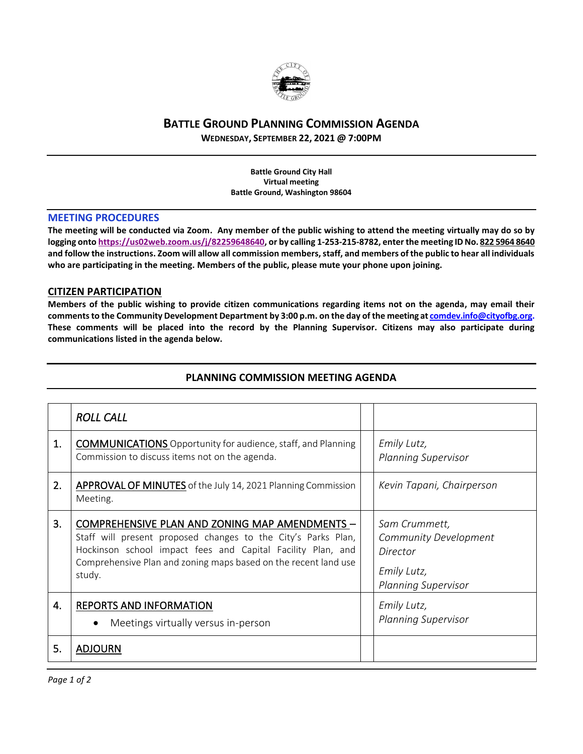

# **BATTLE GROUND PLANNING COMMISSION AGENDA**

**WEDNESDAY, SEPTEMBER 22, 2021 @ 7:00PM**

**Battle Ground City Hall Virtual meeting Battle Ground, Washington 98604**

## **MEETING PROCEDURES**

**The meeting will be conducted via Zoom. Any member of the public wishing to attend the meeting virtually may do so by logging onto [https://us02web.zoom.us/j/82259648640,](https://us02web.zoom.us/j/82259648640) or by calling 1-253-215-8782, enter the meeting ID No. 822 5964 8640 and follow the instructions. Zoom will allow all commission members, staff, and members of the public to hear all individuals who are participating in the meeting. Members of the public, please mute your phone upon joining.**

## **CITIZEN PARTICIPATION**

**Members of the public wishing to provide citizen communications regarding items not on the agenda, may email their comments to the Community Development Department by 3:00 p.m. on the day of the meeting a[t comdev.info@cityofbg.org.](mailto:comdev.info@cityofbg.org) These comments will be placed into the record by the Planning Supervisor. Citizens may also participate during communications listed in the agenda below.** 

|    | <b>ROLL CALL</b>                                                                                                                                                                                                                                            |  |                                                                                                 |  |
|----|-------------------------------------------------------------------------------------------------------------------------------------------------------------------------------------------------------------------------------------------------------------|--|-------------------------------------------------------------------------------------------------|--|
| 1. | <b>COMMUNICATIONS</b> Opportunity for audience, staff, and Planning<br>Commission to discuss items not on the agenda.                                                                                                                                       |  | Emily Lutz,<br><b>Planning Supervisor</b>                                                       |  |
| 2. | <b>APPROVAL OF MINUTES</b> of the July 14, 2021 Planning Commission<br>Meeting.                                                                                                                                                                             |  | Kevin Tapani, Chairperson                                                                       |  |
| 3. | COMPREHENSIVE PLAN AND ZONING MAP AMENDMENTS -<br>Staff will present proposed changes to the City's Parks Plan,<br>Hockinson school impact fees and Capital Facility Plan, and<br>Comprehensive Plan and zoning maps based on the recent land use<br>study. |  | Sam Crummett,<br>Community Development<br>Director<br>Emily Lutz,<br><b>Planning Supervisor</b> |  |
| 4. | <b>REPORTS AND INFORMATION</b><br>Meetings virtually versus in-person<br>$\bullet$                                                                                                                                                                          |  | Emily Lutz,<br><b>Planning Supervisor</b>                                                       |  |
| 5. | <b>ADJOURN</b>                                                                                                                                                                                                                                              |  |                                                                                                 |  |

# **PLANNING COMMISSION MEETING AGENDA**